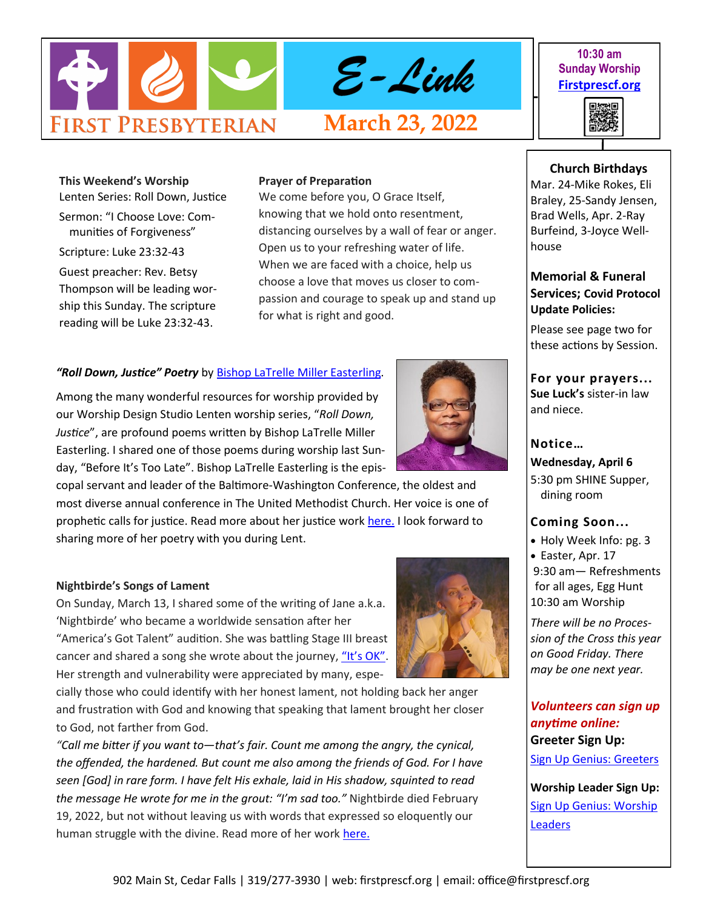

**10:30 am Sunday Worship [Firstprescf.org](http://www.firstprescf.org)**



**This Weekend's Worship**  Lenten Series: Roll Down, Justice

Sermon: "I Choose Love: Communities of Forgiveness"

Scripture: Luke 23:32-43 Guest preacher: Rev. Betsy Thompson will be leading worship this Sunday. The scripture reading will be Luke 23:32-43.

#### **Prayer of Preparation**

We come before you, O Grace Itself, knowing that we hold onto resentment, distancing ourselves by a wall of fear or anger. Open us to your refreshing water of life. When we are faced with a choice, help us choose a love that moves us closer to compassion and courage to speak up and stand up for what is right and good.

### *"Roll Down, Justice" Poetry* by [Bishop LaTrelle Miller Easterling.](https://www.unitedmethodistbishops.org/person-detail/2455172)

Among the many wonderful resources for worship provided by our Worship Design Studio Lenten worship series, "*Roll Down, Justice*", are profound poems written by Bishop LaTrelle Miller Easterling. I shared one of those poems during worship last Sunday, "Before It's Too Late". Bishop LaTrelle Easterling is the epis-

copal servant and leader of the Baltimore-Washington Conference, the oldest and most diverse annual conference in The United Methodist Church. Her voice is one of prophetic calls for justice. Read more about her justice work [here.](https://um-insight.net/topics/bishop-latrelle-easterling/) I look forward to sharing more of her poetry with you during Lent.

#### **Nightbirde's Songs of Lament**

On Sunday, March 13, I shared some of the writing of Jane a.k.a. 'Nightbirde' who became a worldwide sensation after her "America's Got Talent" audition. She was battling Stage III breast cancer and shared a song she wrote about the journey, "It'[s OK](https://www.youtube.com/watch?v=CZJvBfoHDk0)". Her strength and vulnerability were appreciated by many, espe-

cially those who could identify with her honest lament, not holding back her anger and frustration with God and knowing that speaking that lament brought her closer to God, not farther from God.

*"Call me bitter if you want to—that's fair. Count me among the angry, the cynical, the offended, the hardened. But count me also among the friends of God. For I have seen [God] in rare form. I have felt His exhale, laid in His shadow, squinted to read the message He wrote for me in the grout: "I'm sad too."* Nightbirde died February 19, 2022, but not without leaving us with words that expressed so eloquently our human struggle with the divine. Read more of her work [here.](https://www.nightbirde.co/)



**Church Birthdays** Mar. 24-Mike Rokes, Eli

Braley, 25-Sandy Jensen, Brad Wells, Apr. 2-Ray Burfeind, 3-Joyce Wellhouse

# **Memorial & Funeral Services; Covid Protocol Update Policies:**

Please see page two for these actions by Session.

**For your prayers... Sue Luck's** sister-in law and niece.

### **Notice…**

**Wednesday, April 6** 5:30 pm SHINE Supper, dining room

#### **Coming Soon...**

- Holy Week Info: pg. 3
- Easter, Apr. 17 9:30 am— Refreshments for all ages, Egg Hunt 10:30 am Worship

*There will be no Procession of the Cross this year on Good Friday. There may be one next year.*

# *Volunteers can sign up anytime online:* **Greeter Sign Up:** [Sign Up Genius: Greeters](https://www.signupgenius.com/go/10C0D4BA9A728ABF4CF8-shepherds1)

**Worship Leader Sign Up:** [Sign Up Genius: Worship](https://www.signupgenius.com/go/10C0D4BA9A728ABF4CF8-worship)  **[Leaders](https://www.signupgenius.com/go/10C0D4BA9A728ABF4CF8-worship)**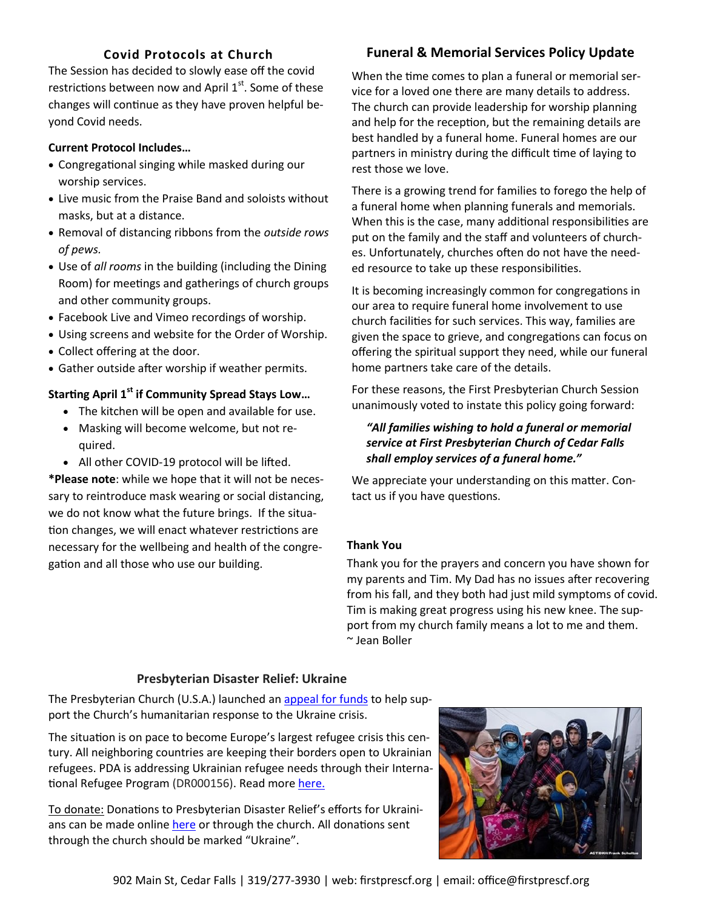# **Covid Protocols at Church**

The Session has decided to slowly ease off the covid restrictions between now and April  $1<sup>st</sup>$ . Some of these changes will continue as they have proven helpful beyond Covid needs.

## **Current Protocol Includes…**

- Congregational singing while masked during our worship services.
- Live music from the Praise Band and soloists without masks, but at a distance.
- Removal of distancing ribbons from the *outside rows of pews.*
- Use of *all rooms* in the building (including the Dining Room) for meetings and gatherings of church groups and other community groups.
- Facebook Live and Vimeo recordings of worship.
- Using screens and website for the Order of Worship.
- Collect offering at the door.
- Gather outside after worship if weather permits.

# **Starting April 1st if Community Spread Stays Low…**

- The kitchen will be open and available for use.
- Masking will become welcome, but not required.
- All other COVID-19 protocol will be lifted.

**\*Please note**: while we hope that it will not be necessary to reintroduce mask wearing or social distancing, we do not know what the future brings. If the situation changes, we will enact whatever restrictions are necessary for the wellbeing and health of the congregation and all those who use our building.

# **Funeral & Memorial Services Policy Update**

When the time comes to plan a funeral or memorial service for a loved one there are many details to address. The church can provide leadership for worship planning and help for the reception, but the remaining details are best handled by a funeral home. Funeral homes are our partners in ministry during the difficult time of laying to rest those we love.

There is a growing trend for families to forego the help of a funeral home when planning funerals and memorials. When this is the case, many additional responsibilities are put on the family and the staff and volunteers of churches. Unfortunately, churches often do not have the needed resource to take up these responsibilities.

It is becoming increasingly common for congregations in our area to require funeral home involvement to use church facilities for such services. This way, families are given the space to grieve, and congregations can focus on offering the spiritual support they need, while our funeral home partners take care of the details.

For these reasons, the First Presbyterian Church Session unanimously voted to instate this policy going forward:

## *"All families wishing to hold a funeral or memorial service at First Presbyterian Church of Cedar Falls shall employ services of a funeral home."*

We appreciate your understanding on this matter. Contact us if you have questions.

## **Thank You**

Thank you for the prayers and concern you have shown for my parents and Tim. My Dad has no issues after recovering from his fall, and they both had just mild symptoms of covid. Tim is making great progress using his new knee. The support from my church family means a lot to me and them. ~ Jean Boller

#### **Presbyterian Disaster Relief: Ukraine**

The Presbyterian Church (U.S.A.) launched an [appeal for funds](https://www.presbyterianmission.org/story/refugees-just-want-to-go-home/) to help support the Church's humanitarian response to the Ukraine crisis.

The situation is on pace to become Europe's largest refugee crisis this century. All neighboring countries are keeping their borders open to Ukrainian refugees. PDA is addressing Ukrainian refugee needs through their International Refugee Program (DR000156). Read more [here.](https://specialofferings.pcusa.org/story/presbyterian-church-us-seeking-support-humanitaria/)

To donate: Donations to Presbyterian Disaster Relief's efforts for Ukrainians can be made online [here](https://pma.pcusa.org/donate/make-a-gift/gift-info/DR000156/?appeal=PDA&package=UK22-PNS) or through the church. All donations sent through the church should be marked "Ukraine".

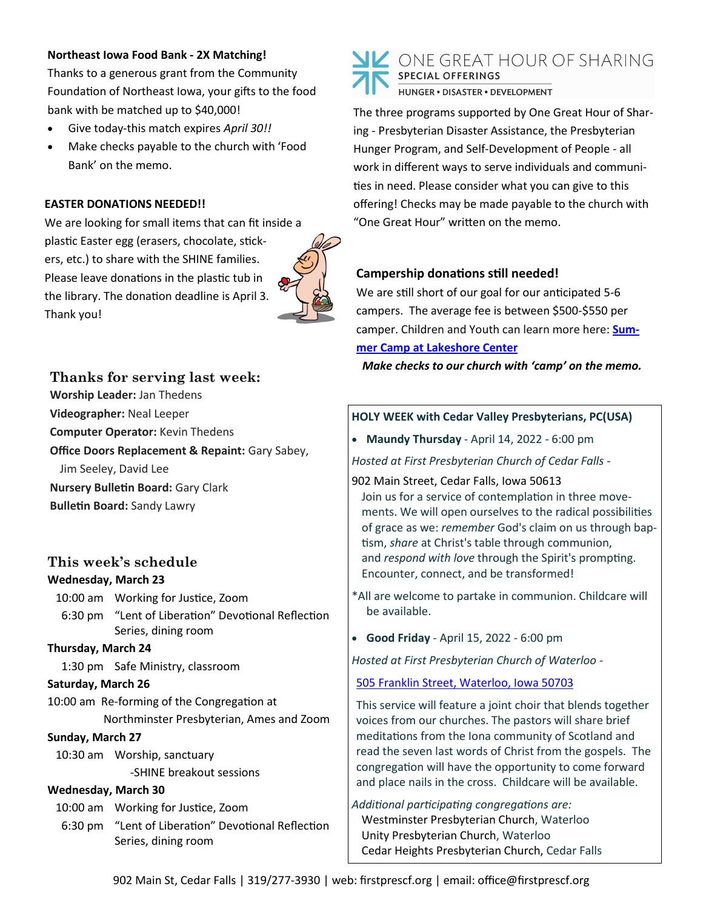### **Northeast Iowa Food Bank - 2X Matching!**

Thanks to a generous grant from the Community Foundation of Northeast Iowa, your gifts to the food bank with be matched up to \$40,000!

- Give today-this match expires *April 30!!*
- Make checks payable to the church with 'Food Bank' on the memo.

## **EASTER DONATIONS NEEDED!!**

We are looking for small items that can fit inside a plastic Easter egg (erasers, chocolate, stickers, etc.) to share with the SHINE families. Please leave donations in the plastic tub in the library. The donation deadline is April 3. Thank you!



# **Thanks for serving last week:**

**Worship Leader:** Jan Thedens

**Videographer:** Neal Leeper

**Computer Operator:** Kevin Thedens

**Office Doors Replacement & Repaint:** Gary Sabey,

Jim Seeley, David Lee

**Nursery Bulletin Board:** Gary Clark

**Bulletin Board:** Sandy Lawry

# **This week's schedule Wednesday, March 23**

10:00 am Working for Justice, Zoom 6:30 pm "Lent of Liberation" Devotional Reflection Series, dining room

#### **Thursday, March 24**

1:30 pm Safe Ministry, classroom

#### **Saturday, March 26**

10:00 am Re-forming of the Congregation at Northminster Presbyterian, Ames and Zoom

#### **Sunday, March 27**

10:30 am Worship, sanctuary -SHINE breakout sessions

#### **Wednesday, March 30**

10:00 am Working for Justice, Zoom 6:30 pm "Lent of Liberation" Devotional Reflection Series, dining room



The three programs supported by One Great Hour of Sharing - Presbyterian Disaster Assistance, the Presbyterian Hunger Program, and Self-Development of People - all work in different ways to serve individuals and communities in need. Please consider what you can give to this offering! Checks may be made payable to the church with "One Great Hour" written on the memo.

## **Campership donations still needed!**

We are still short of our goal for our anticipated 5-6 campers. The average fee is between \$500-\$550 per camper. Children and Youth can learn more here: **[Sum](https://www.lakeshorecenteratokoboji.org/summer-camp.html)[mer Camp at Lakeshore Center](https://www.lakeshorecenteratokoboji.org/summer-camp.html)**

*Make checks to our church with 'camp' on the memo.* 

## **HOLY WEEK with Cedar Valley Presbyterians, PC(USA)**

• **Maundy Thursday** - April 14, 2022 - 6:00 pm

*Hosted at First Presbyterian Church of Cedar Falls -*

902 Main Street, Cedar Falls, Iowa 50613 Join us for a service of contemplation in three movements. We will open ourselves to the radical possibilities of grace as we: *remember* God's claim on us through baptism, *share* at Christ's table through communion, and *respond with love* through the Spirit's prompting. Encounter, connect, and be transformed!

- \*All are welcome to partake in communion. Childcare will be available.
- **Good Friday** April 15, 2022 6:00 pm

*Hosted at First Presbyterian Church of Waterloo -*

## [505 Franklin Street, Waterloo, Iowa 50703](https://www.google.com/maps/place/First+Presbyterian+Church/@42.5013441,-92.3357193,17z/data=!3m1!4b1!4m5!3m4!1s0x87e552e5bfb5a83d:0x45e92f1fec2fc83c!8m2!3d42.5011953!4d-92.3337074)

This service will feature a joint choir that blends together voices from our churches. The pastors will share brief meditations from the Iona community of Scotland and read the seven last words of Christ from the gospels. The congregation will have the opportunity to come forward and place nails in the cross. Childcare will be available.

*Additional participating congregations are:* Westminster Presbyterian Church, Waterloo Unity Presbyterian Church, Waterloo Cedar Heights Presbyterian Church, Cedar Falls